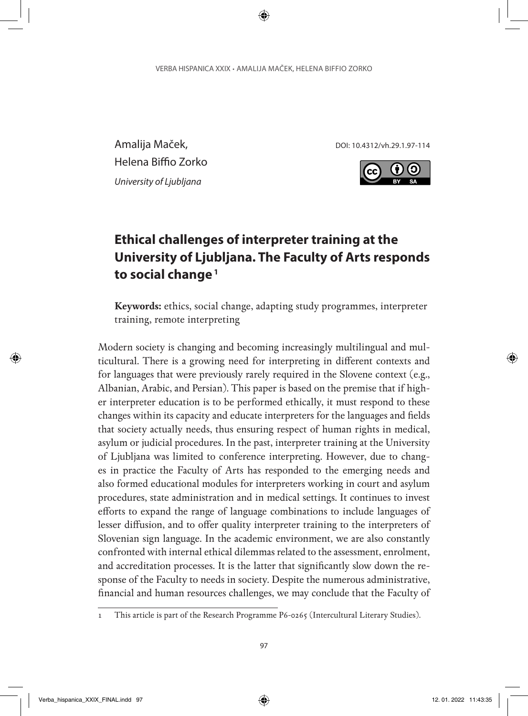Amalija Maček, and a metal politicial politicial politicial politicial politicial politicial politicial politicial politicial politicial politicial politicial politicial politicial politicial politicial politicial politici Helena Biffio Zorko *University of Ljubljana*



# **Ethical challenges of interpreter training at the University of Ljubljana. The Faculty of Arts responds to social change <sup>1</sup>**

**Keywords:** ethics, social change, adapting study programmes, interpreter training, remote interpreting

Modern society is changing and becoming increasingly multilingual and multicultural. There is a growing need for interpreting in different contexts and for languages that were previously rarely required in the Slovene context (e.g., Albanian, Arabic, and Persian). This paper is based on the premise that if higher interpreter education is to be performed ethically, it must respond to these changes within its capacity and educate interpreters for the languages and fields that society actually needs, thus ensuring respect of human rights in medical, asylum or judicial procedures. In the past, interpreter training at the University of Ljubljana was limited to conference interpreting. However, due to changes in practice the Faculty of Arts has responded to the emerging needs and also formed educational modules for interpreters working in court and asylum procedures, state administration and in medical settings. It continues to invest efforts to expand the range of language combinations to include languages of lesser diffusion, and to offer quality interpreter training to the interpreters of Slovenian sign language. In the academic environment, we are also constantly confronted with internal ethical dilemmas related to the assessment, enrolment, and accreditation processes. It is the latter that significantly slow down the response of the Faculty to needs in society. Despite the numerous administrative, financial and human resources challenges, we may conclude that the Faculty of

<sup>1</sup> This article is part of the Research Programme P6-0265 (Intercultural Literary Studies).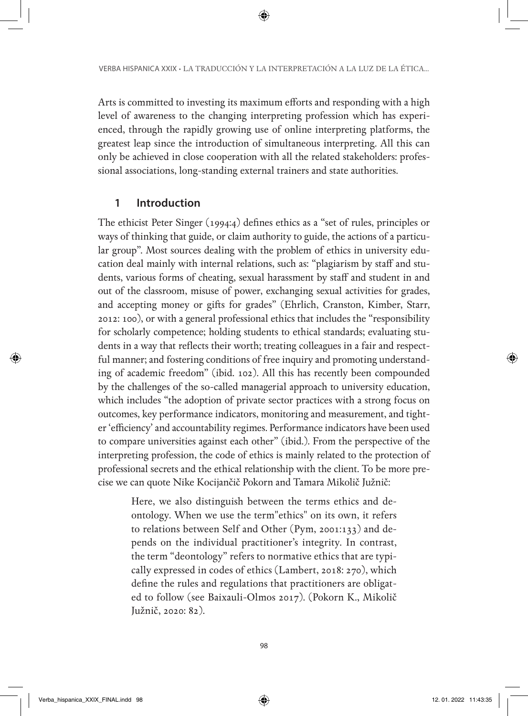Arts is committed to investing its maximum efforts and responding with a high level of awareness to the changing interpreting profession which has experienced, through the rapidly growing use of online interpreting platforms, the greatest leap since the introduction of simultaneous interpreting. All this can only be achieved in close cooperation with all the related stakeholders: professional associations, long-standing external trainers and state authorities.

#### **1 Introduction**

The ethicist Peter Singer (1994:4) defines ethics as a "set of rules, principles or ways of thinking that guide, or claim authority to guide, the actions of a particular group". Most sources dealing with the problem of ethics in university education deal mainly with internal relations, such as: "plagiarism by staff and students, various forms of cheating, sexual harassment by staff and student in and out of the classroom, misuse of power, exchanging sexual activities for grades, and accepting money or gifts for grades" (Ehrlich, Cranston, Kimber, Starr, 2012: 100), or with a general professional ethics that includes the "responsibility for scholarly competence; holding students to ethical standards; evaluating students in a way that reflects their worth; treating colleagues in a fair and respectful manner; and fostering conditions of free inquiry and promoting understanding of academic freedom" (ibid. 102). All this has recently been compounded by the challenges of the so-called managerial approach to university education, which includes "the adoption of private sector practices with a strong focus on outcomes, key performance indicators, monitoring and measurement, and tighter 'efficiency' and accountability regimes. Performance indicators have been used to compare universities against each other" (ibid.). From the perspective of the interpreting profession, the code of ethics is mainly related to the protection of professional secrets and the ethical relationship with the client. To be more precise we can quote Nike Kocijančič Pokorn and Tamara Mikolič Južnič:

Here, we also distinguish between the terms ethics and deontology. When we use the term"ethics" on its own, it refers to relations between Self and Other (Pym, 2001:133) and depends on the individual practitioner's integrity. In contrast, the term "deontology" refers to normative ethics that are typically expressed in codes of ethics (Lambert, 2018: 270), which define the rules and regulations that practitioners are obligated to follow (see Baixauli-Olmos 2017). (Pokorn K., Mikolič Južnič, 2020: 82).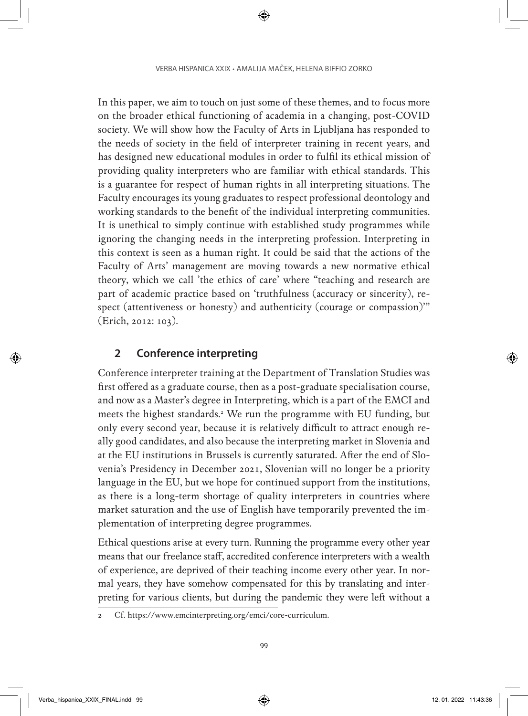In this paper, we aim to touch on just some of these themes, and to focus more on the broader ethical functioning of academia in a changing, post-COVID society. We will show how the Faculty of Arts in Ljubljana has responded to the needs of society in the field of interpreter training in recent years, and has designed new educational modules in order to fulfil its ethical mission of providing quality interpreters who are familiar with ethical standards. This is a guarantee for respect of human rights in all interpreting situations. The Faculty encourages its young graduates to respect professional deontology and working standards to the benefit of the individual interpreting communities. It is unethical to simply continue with established study programmes while ignoring the changing needs in the interpreting profession. Interpreting in this context is seen as a human right. It could be said that the actions of the Faculty of Arts' management are moving towards a new normative ethical theory, which we call 'the ethics of care' where "teaching and research are part of academic practice based on 'truthfulness (accuracy or sincerity), respect (attentiveness or honesty) and authenticity (courage or compassion)'" (Erich, 2012: 103).

#### **2 Conference interpreting**

Conference interpreter training at the Department of Translation Studies was first offered as a graduate course, then as a post-graduate specialisation course, and now as a Master's degree in Interpreting, which is a part of the EMCI and meets the highest standards.2 We run the programme with EU funding, but only every second year, because it is relatively difficult to attract enough really good candidates, and also because the interpreting market in Slovenia and at the EU institutions in Brussels is currently saturated. After the end of Slovenia's Presidency in December 2021, Slovenian will no longer be a priority language in the EU, but we hope for continued support from the institutions, as there is a long-term shortage of quality interpreters in countries where market saturation and the use of English have temporarily prevented the implementation of interpreting degree programmes.

Ethical questions arise at every turn. Running the programme every other year means that our freelance staff, accredited conference interpreters with a wealth of experience, are deprived of their teaching income every other year. In normal years, they have somehow compensated for this by translating and interpreting for various clients, but during the pandemic they were left without a

<sup>2</sup> Cf. https://www.emcinterpreting.org/emci/core-curriculum.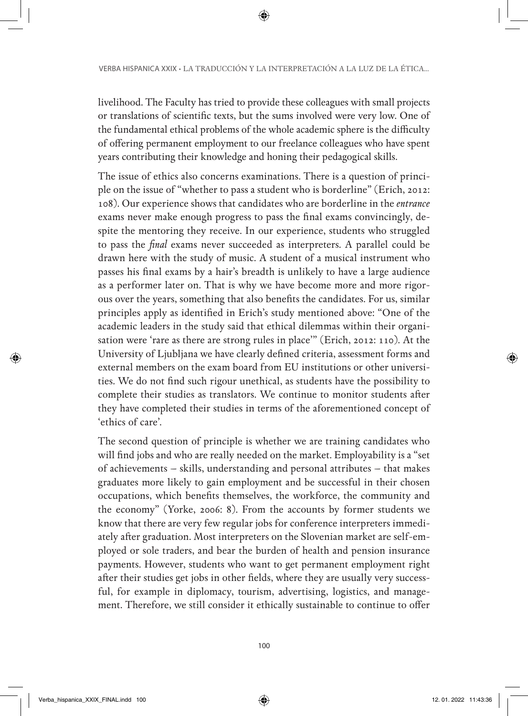livelihood. The Faculty has tried to provide these colleagues with small projects or translations of scientific texts, but the sums involved were very low. One of the fundamental ethical problems of the whole academic sphere is the difficulty of offering permanent employment to our freelance colleagues who have spent years contributing their knowledge and honing their pedagogical skills.

The issue of ethics also concerns examinations. There is a question of principle on the issue of "whether to pass a student who is borderline" (Erich, 2012: 108). Our experience shows that candidates who are borderline in the *entrance* exams never make enough progress to pass the final exams convincingly, despite the mentoring they receive. In our experience, students who struggled to pass the *final* exams never succeeded as interpreters. A parallel could be drawn here with the study of music. A student of a musical instrument who passes his final exams by a hair's breadth is unlikely to have a large audience as a performer later on. That is why we have become more and more rigorous over the years, something that also benefits the candidates. For us, similar principles apply as identified in Erich's study mentioned above: "One of the academic leaders in the study said that ethical dilemmas within their organisation were 'rare as there are strong rules in place'" (Erich, 2012: 110). At the University of Ljubljana we have clearly defined criteria, assessment forms and external members on the exam board from EU institutions or other universities. We do not find such rigour unethical, as students have the possibility to complete their studies as translators. We continue to monitor students after they have completed their studies in terms of the aforementioned concept of 'ethics of care'.

The second question of principle is whether we are training candidates who will find jobs and who are really needed on the market. Employability is a "set of achievements – skills, understanding and personal attributes – that makes graduates more likely to gain employment and be successful in their chosen occupations, which benefits themselves, the workforce, the community and the economy" (Yorke, 2006: 8). From the accounts by former students we know that there are very few regular jobs for conference interpreters immediately after graduation. Most interpreters on the Slovenian market are self-employed or sole traders, and bear the burden of health and pension insurance payments. However, students who want to get permanent employment right after their studies get jobs in other fields, where they are usually very successful, for example in diplomacy, tourism, advertising, logistics, and management. Therefore, we still consider it ethically sustainable to continue to offer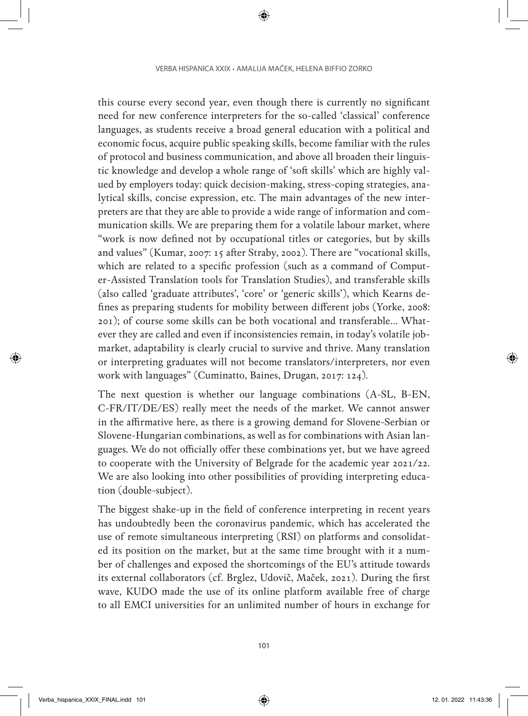this course every second year, even though there is currently no significant need for new conference interpreters for the so-called 'classical' conference languages, as students receive a broad general education with a political and economic focus, acquire public speaking skills, become familiar with the rules of protocol and business communication, and above all broaden their linguistic knowledge and develop a whole range of 'soft skills' which are highly valued by employers today: quick decision-making, stress-coping strategies, analytical skills, concise expression, etc. The main advantages of the new interpreters are that they are able to provide a wide range of information and communication skills. We are preparing them for a volatile labour market, where "work is now defined not by occupational titles or categories, but by skills and values" (Kumar, 2007: 15 after Straby, 2002). There are "vocational skills, which are related to a specific profession (such as a command of Computer-Assisted Translation tools for Translation Studies), and transferable skills (also called 'graduate attributes', 'core' or 'generic skills'), which Kearns defines as preparing students for mobility between different jobs (Yorke, 2008: 201); of course some skills can be both vocational and transferable… Whatever they are called and even if inconsistencies remain, in today's volatile jobmarket, adaptability is clearly crucial to survive and thrive. Many translation or interpreting graduates will not become translators/interpreters, nor even work with languages" (Cuminatto, Baines, Drugan, 2017: 124).

The next question is whether our language combinations (A-SL, B-EN, C-FR/IT/DE/ES) really meet the needs of the market. We cannot answer in the affirmative here, as there is a growing demand for Slovene-Serbian or Slovene-Hungarian combinations, as well as for combinations with Asian languages. We do not officially offer these combinations yet, but we have agreed to cooperate with the University of Belgrade for the academic year 2021/22. We are also looking into other possibilities of providing interpreting education (double-subject).

The biggest shake-up in the field of conference interpreting in recent years has undoubtedly been the coronavirus pandemic, which has accelerated the use of remote simultaneous interpreting (RSI) on platforms and consolidated its position on the market, but at the same time brought with it a number of challenges and exposed the shortcomings of the EU's attitude towards its external collaborators (cf. Brglez, Udovič, Maček, 2021). During the first wave, KUDO made the use of its online platform available free of charge to all EMCI universities for an unlimited number of hours in exchange for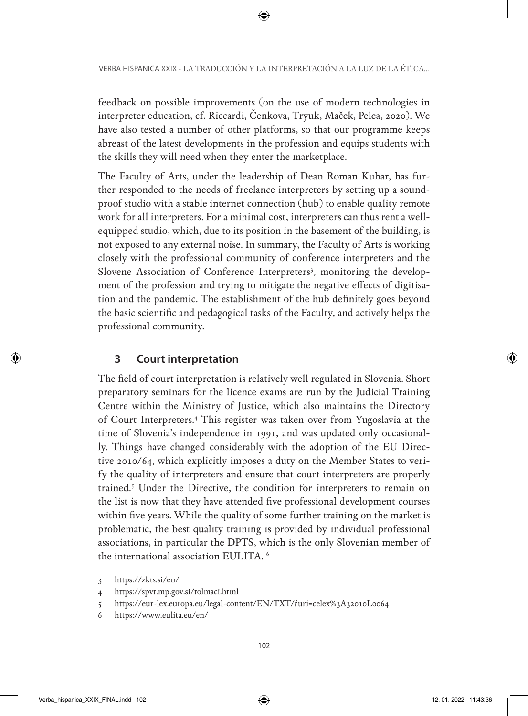feedback on possible improvements (on the use of modern technologies in interpreter education, cf. Riccardi, Čenkova, Tryuk, Maček, Pelea, 2020). We have also tested a number of other platforms, so that our programme keeps abreast of the latest developments in the profession and equips students with the skills they will need when they enter the marketplace.

The Faculty of Arts, under the leadership of Dean Roman Kuhar, has further responded to the needs of freelance interpreters by setting up a soundproof studio with a stable internet connection (hub) to enable quality remote work for all interpreters. For a minimal cost, interpreters can thus rent a wellequipped studio, which, due to its position in the basement of the building, is not exposed to any external noise. In summary, the Faculty of Arts is working closely with the professional community of conference interpreters and the Slovene Association of Conference Interpreters<sup>3</sup>, monitoring the development of the profession and trying to mitigate the negative effects of digitisation and the pandemic. The establishment of the hub definitely goes beyond the basic scientific and pedagogical tasks of the Faculty, and actively helps the professional community.

## **3 Court interpretation**

The field of court interpretation is relatively well regulated in Slovenia. Short preparatory seminars for the licence exams are run by the Judicial Training Centre within the Ministry of Justice, which also maintains the Directory of Court Interpreters.4 This register was taken over from Yugoslavia at the time of Slovenia's independence in 1991, and was updated only occasionally. Things have changed considerably with the adoption of the EU Directive 2010/64, which explicitly imposes a duty on the Member States to verify the quality of interpreters and ensure that court interpreters are properly trained.5 Under the Directive, the condition for interpreters to remain on the list is now that they have attended five professional development courses within five years. While the quality of some further training on the market is problematic, the best quality training is provided by individual professional associations, in particular the DPTS, which is the only Slovenian member of the international association EULITA. 6

<sup>3</sup> https://zkts.si/en/

<sup>4</sup> https://spvt.mp.gov.si/tolmaci.html

<sup>5</sup> https://eur-lex.europa.eu/legal-content/EN/TXT/?uri=celex%3A32010L0064

<sup>6</sup> https://www.eulita.eu/en/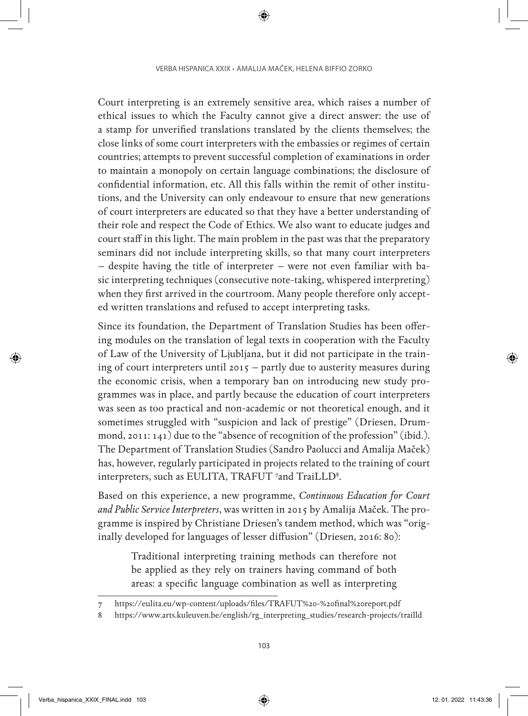Court interpreting is an extremely sensitive area, which raises a number of ethical issues to which the Faculty cannot give a direct answer: the use of a stamp for unverified translations translated by the clients themselves; the close links of some court interpreters with the embassies or regimes of certain countries; attempts to prevent successful completion of examinations in order to maintain a monopoly on certain language combinations; the disclosure of confidential information, etc. All this falls within the remit of other institutions, and the University can only endeavour to ensure that new generations of court interpreters are educated so that they have a better understanding of their role and respect the Code of Ethics. We also want to educate judges and court staff in this light. The main problem in the past was that the preparatory seminars did not include interpreting skills, so that many court interpreters – despite having the title of interpreter – were not even familiar with basic interpreting techniques (consecutive note-taking, whispered interpreting) when they first arrived in the courtroom. Many people therefore only accepted written translations and refused to accept interpreting tasks.

Since its foundation, the Department of Translation Studies has been offering modules on the translation of legal texts in cooperation with the Faculty of Law of the University of Ljubljana, but it did not participate in the training of court interpreters until 2015 – partly due to austerity measures during the economic crisis, when a temporary ban on introducing new study programmes was in place, and partly because the education of court interpreters was seen as too practical and non-academic or not theoretical enough, and it sometimes struggled with "suspicion and lack of prestige" (Driesen, Drummond, 2011: 141) due to the "absence of recognition of the profession" (ibid.). The Department of Translation Studies (Sandro Paolucci and Amalija Maček) has, however, regularly participated in projects related to the training of court interpreters, such as EULITA, TRAFUT <sup>7</sup>and TraiLLD<sup>8</sup>.

Based on this experience, a new programme, *Continuous Education for Court and Public Service Interpreters*, was written in 2015 by Amalija Maček. The programme is inspired by Christiane Driesen's tandem method, which was "originally developed for languages of lesser diffusion" (Driesen, 2016: 80):

Traditional interpreting training methods can therefore not be applied as they rely on trainers having command of both areas: a specific language combination as well as interpreting

<sup>7</sup> https://eulita.eu/wp-content/uploads/files/TRAFUT%20-%20final%20report.pdf

<sup>8</sup> https://www.arts.kuleuven.be/english/rg\_interpreting\_studies/research-projects/trailld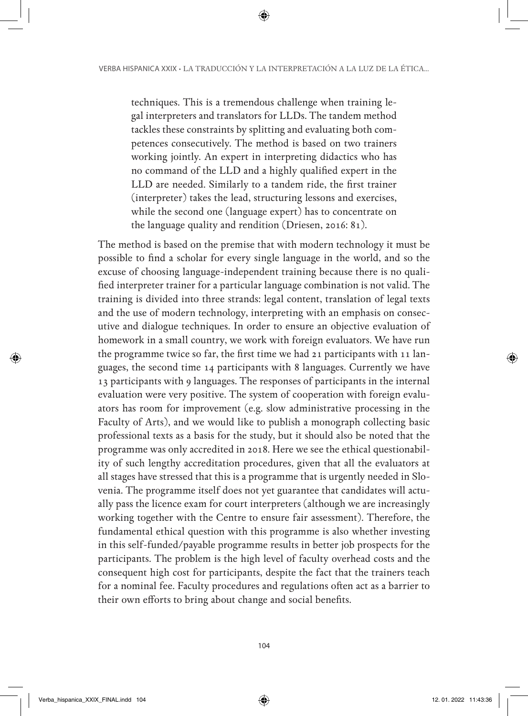techniques. This is a tremendous challenge when training legal interpreters and translators for LLDs. The tandem method tackles these constraints by splitting and evaluating both competences consecutively. The method is based on two trainers working jointly. An expert in interpreting didactics who has no command of the LLD and a highly qualified expert in the LLD are needed. Similarly to a tandem ride, the first trainer (interpreter) takes the lead, structuring lessons and exercises, while the second one (language expert) has to concentrate on the language quality and rendition (Driesen, 2016: 81).

The method is based on the premise that with modern technology it must be possible to find a scholar for every single language in the world, and so the excuse of choosing language-independent training because there is no qualified interpreter trainer for a particular language combination is not valid. The training is divided into three strands: legal content, translation of legal texts and the use of modern technology, interpreting with an emphasis on consecutive and dialogue techniques. In order to ensure an objective evaluation of homework in a small country, we work with foreign evaluators. We have run the programme twice so far, the first time we had 21 participants with 11 languages, the second time 14 participants with 8 languages. Currently we have 13 participants with 9 languages. The responses of participants in the internal evaluation were very positive. The system of cooperation with foreign evaluators has room for improvement (e.g. slow administrative processing in the Faculty of Arts), and we would like to publish a monograph collecting basic professional texts as a basis for the study, but it should also be noted that the programme was only accredited in 2018. Here we see the ethical questionability of such lengthy accreditation procedures, given that all the evaluators at all stages have stressed that this is a programme that is urgently needed in Slovenia. The programme itself does not yet guarantee that candidates will actually pass the licence exam for court interpreters (although we are increasingly working together with the Centre to ensure fair assessment). Therefore, the fundamental ethical question with this programme is also whether investing in this self-funded/payable programme results in better job prospects for the participants. The problem is the high level of faculty overhead costs and the consequent high cost for participants, despite the fact that the trainers teach for a nominal fee. Faculty procedures and regulations often act as a barrier to their own efforts to bring about change and social benefits.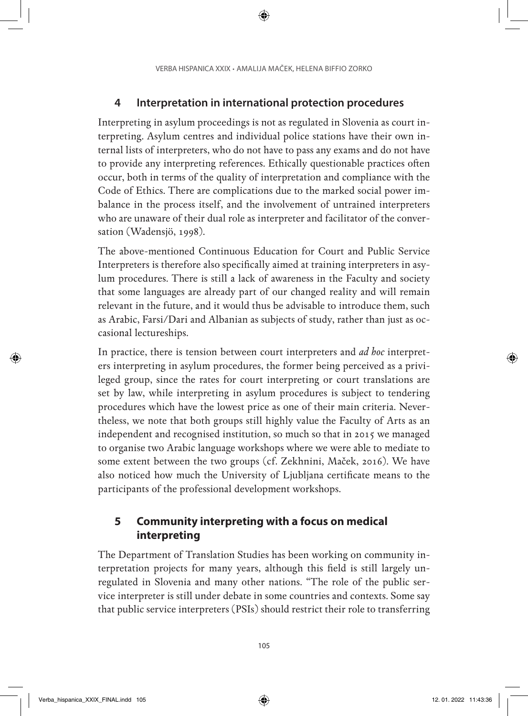## **4 Interpretation in international protection procedures**

Interpreting in asylum proceedings is not as regulated in Slovenia as court interpreting. Asylum centres and individual police stations have their own internal lists of interpreters, who do not have to pass any exams and do not have to provide any interpreting references. Ethically questionable practices often occur, both in terms of the quality of interpretation and compliance with the Code of Ethics. There are complications due to the marked social power imbalance in the process itself, and the involvement of untrained interpreters who are unaware of their dual role as interpreter and facilitator of the conversation (Wadensjö, 1998).

The above-mentioned Continuous Education for Court and Public Service Interpreters is therefore also specifically aimed at training interpreters in asylum procedures. There is still a lack of awareness in the Faculty and society that some languages are already part of our changed reality and will remain relevant in the future, and it would thus be advisable to introduce them, such as Arabic, Farsi/Dari and Albanian as subjects of study, rather than just as occasional lectureships.

In practice, there is tension between court interpreters and *ad hoc* interpreters interpreting in asylum procedures, the former being perceived as a privileged group, since the rates for court interpreting or court translations are set by law, while interpreting in asylum procedures is subject to tendering procedures which have the lowest price as one of their main criteria. Nevertheless, we note that both groups still highly value the Faculty of Arts as an independent and recognised institution, so much so that in 2015 we managed to organise two Arabic language workshops where we were able to mediate to some extent between the two groups (cf. Zekhnini, Maček, 2016). We have also noticed how much the University of Ljubljana certificate means to the participants of the professional development workshops.

## **5 Community interpreting with a focus on medical interpreting**

The Department of Translation Studies has been working on community interpretation projects for many years, although this field is still largely unregulated in Slovenia and many other nations. "The role of the public service interpreter is still under debate in some countries and contexts. Some say that public service interpreters (PSIs) should restrict their role to transferring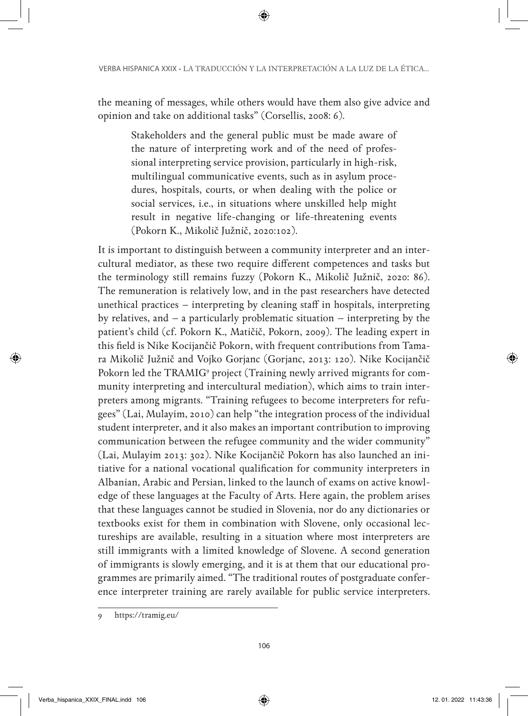the meaning of messages, while others would have them also give advice and opinion and take on additional tasks" (Corsellis, 2008: 6).

Stakeholders and the general public must be made aware of the nature of interpreting work and of the need of professional interpreting service provision, particularly in high-risk, multilingual communicative events, such as in asylum procedures, hospitals, courts, or when dealing with the police or social services, i.e., in situations where unskilled help might result in negative life-changing or life-threatening events (Pokorn K., Mikolič Južnič, 2020:102).

It is important to distinguish between a community interpreter and an intercultural mediator, as these two require different competences and tasks but the terminology still remains fuzzy (Pokorn K., Mikolič Južnič, 2020: 86). The remuneration is relatively low, and in the past researchers have detected unethical practices – interpreting by cleaning staff in hospitals, interpreting by relatives, and – a particularly problematic situation – interpreting by the patient's child (cf. Pokorn K., Matičič, Pokorn, 2009). The leading expert in this field is Nike Kocijančič Pokorn, with frequent contributions from Tamara Mikolič Južnič and Vojko Gorjanc (Gorjanc, 2013: 120). Nike Kocijančič Pokorn led the TRAMIG<sup>9</sup> project (Training newly arrived migrants for community interpreting and intercultural mediation), which aims to train interpreters among migrants. "Training refugees to become interpreters for refugees" (Lai, Mulayim, 2010) can help "the integration process of the individual student interpreter, and it also makes an important contribution to improving communication between the refugee community and the wider community" (Lai, Mulayim 2013: 302). Nike Kocijančič Pokorn has also launched an initiative for a national vocational qualification for community interpreters in Albanian, Arabic and Persian, linked to the launch of exams on active knowledge of these languages at the Faculty of Arts. Here again, the problem arises that these languages cannot be studied in Slovenia, nor do any dictionaries or textbooks exist for them in combination with Slovene, only occasional lectureships are available, resulting in a situation where most interpreters are still immigrants with a limited knowledge of Slovene. A second generation of immigrants is slowly emerging, and it is at them that our educational programmes are primarily aimed. "The traditional routes of postgraduate conference interpreter training are rarely available for public service interpreters.

<sup>9</sup> https://tramig.eu/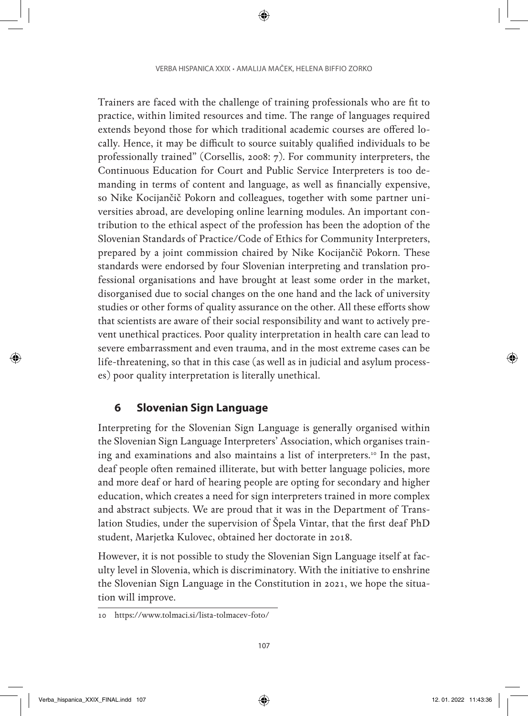Trainers are faced with the challenge of training professionals who are fit to practice, within limited resources and time. The range of languages required extends beyond those for which traditional academic courses are offered locally. Hence, it may be difficult to source suitably qualified individuals to be professionally trained" (Corsellis, 2008: 7). For community interpreters, the Continuous Education for Court and Public Service Interpreters is too demanding in terms of content and language, as well as financially expensive, so Nike Kocijančič Pokorn and colleagues, together with some partner universities abroad, are developing online learning modules. An important contribution to the ethical aspect of the profession has been the adoption of the Slovenian Standards of Practice/Code of Ethics for Community Interpreters, prepared by a joint commission chaired by Nike Kocijančič Pokorn. These standards were endorsed by four Slovenian interpreting and translation professional organisations and have brought at least some order in the market, disorganised due to social changes on the one hand and the lack of university studies or other forms of quality assurance on the other. All these efforts show that scientists are aware of their social responsibility and want to actively prevent unethical practices. Poor quality interpretation in health care can lead to severe embarrassment and even trauma, and in the most extreme cases can be life-threatening, so that in this case (as well as in judicial and asylum processes) poor quality interpretation is literally unethical.

#### **6 Slovenian Sign Language**

Interpreting for the Slovenian Sign Language is generally organised within the Slovenian Sign Language Interpreters' Association, which organises training and examinations and also maintains a list of interpreters.<sup>10</sup> In the past, deaf people often remained illiterate, but with better language policies, more and more deaf or hard of hearing people are opting for secondary and higher education, which creates a need for sign interpreters trained in more complex and abstract subjects. We are proud that it was in the Department of Translation Studies, under the supervision of Špela Vintar, that the first deaf PhD student, Marjetka Kulovec, obtained her doctorate in 2018.

However, it is not possible to study the Slovenian Sign Language itself at faculty level in Slovenia, which is discriminatory. With the initiative to enshrine the Slovenian Sign Language in the Constitution in 2021, we hope the situation will improve.

<sup>10</sup> https://www.tolmaci.si/lista-tolmacev-foto/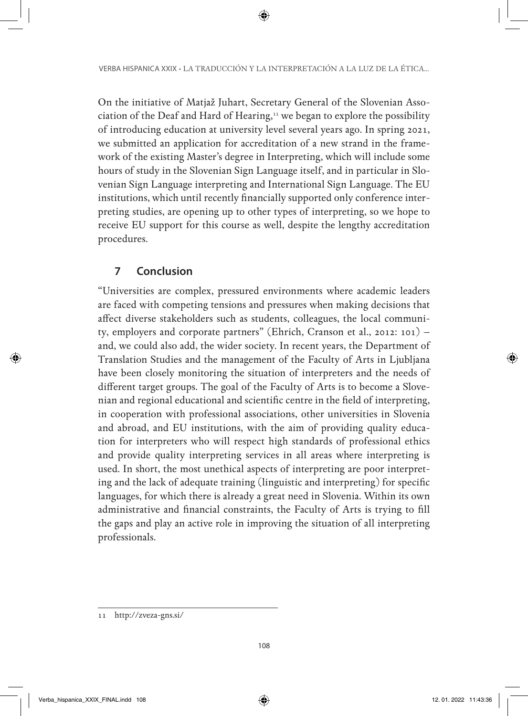On the initiative of Matjaž Juhart, Secretary General of the Slovenian Association of the Deaf and Hard of Hearing,<sup>11</sup> we began to explore the possibility of introducing education at university level several years ago. In spring 2021, we submitted an application for accreditation of a new strand in the framework of the existing Master's degree in Interpreting, which will include some hours of study in the Slovenian Sign Language itself, and in particular in Slovenian Sign Language interpreting and International Sign Language. The EU institutions, which until recently financially supported only conference interpreting studies, are opening up to other types of interpreting, so we hope to receive EU support for this course as well, despite the lengthy accreditation procedures.

## **7 Conclusion**

"Universities are complex, pressured environments where academic leaders are faced with competing tensions and pressures when making decisions that affect diverse stakeholders such as students, colleagues, the local community, employers and corporate partners" (Ehrich, Cranson et al., 2012: 101) – and, we could also add, the wider society. In recent years, the Department of Translation Studies and the management of the Faculty of Arts in Ljubljana have been closely monitoring the situation of interpreters and the needs of different target groups. The goal of the Faculty of Arts is to become a Slovenian and regional educational and scientific centre in the field of interpreting, in cooperation with professional associations, other universities in Slovenia and abroad, and EU institutions, with the aim of providing quality education for interpreters who will respect high standards of professional ethics and provide quality interpreting services in all areas where interpreting is used. In short, the most unethical aspects of interpreting are poor interpreting and the lack of adequate training (linguistic and interpreting) for specific languages, for which there is already a great need in Slovenia. Within its own administrative and financial constraints, the Faculty of Arts is trying to fill the gaps and play an active role in improving the situation of all interpreting professionals.

<sup>11</sup> http://zveza-gns.si/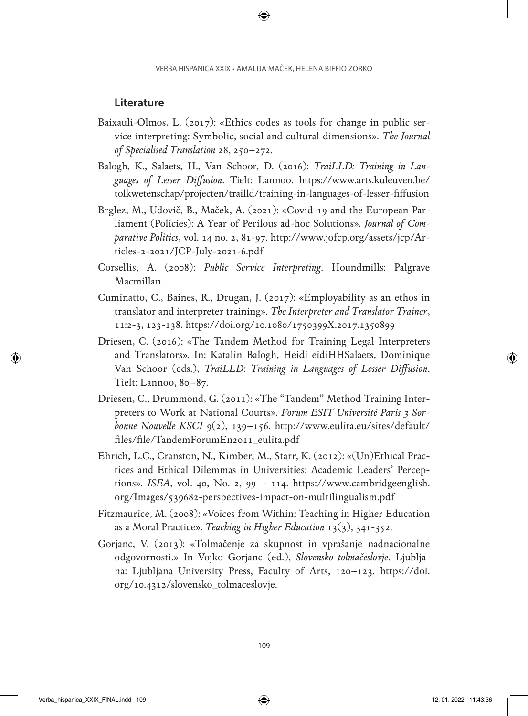#### **Literature**

- Baixauli-Olmos, L. (2017): «Ethics codes as tools for change in public service interpreting: Symbolic, social and cultural dimensions». *The Journal of Specialised Translation* 28, 250–272.
- Balogh, K., Salaets, H., Van Schoor, D. (2016): *TraiLLD: Training in Languages of Lesser Diffusion*. Tielt: Lannoo. [https://www.arts.kuleuven.be/](https://www.arts.kuleuven.be/tolkwetenschap/projecten/trailld/training-in-languages-of-lesser-fiffusion) [tolkwetenschap/projecten/trailld/training-in-languages-of-lesser-fiffusion](https://www.arts.kuleuven.be/tolkwetenschap/projecten/trailld/training-in-languages-of-lesser-fiffusion)
- Brglez, M., Udovič, B., Maček, A. (2021): «Covid-19 and the European Parliament (Policies): A Year of Perilous ad-hoc Solutions». *Journal of Comparative Politics*, vol. 14 no. 2, 81-97. [http://www.jofcp.org/assets/jcp/Ar](http://www.jofcp.org/assets/jcp/Articles-2-2021/JCP-July-2021-6.pdf)[ticles-2-2021/JCP-July-2021-6.pdf](http://www.jofcp.org/assets/jcp/Articles-2-2021/JCP-July-2021-6.pdf)
- Corsellis, A. (2008): *Public Service Interpreting*. Houndmills: Palgrave Macmillan.
- Cuminatto, C., Baines, R., Drugan, J. (2017): «Employability as an ethos in translator and interpreter training». *The Interpreter and Translator Trainer*, 11:2-3, 123-138.<https://doi.org/10.1080/1750399X.2017.1350899>
- Driesen, C. (2016): «The Tandem Method for Training Legal Interpreters and Translators». In: Katalin Balogh, Heidi eidiHHSalaets, Dominique Van Schoor (eds.), *TraiLLD: Training in Languages of Lesser Diffusion*. Tielt: Lannoo, 80–87.
- Driesen, C., Drummond, G. (2011): «The "Tandem" Method Training Interpreters to Work at National Courts». *Forum ESIT Université Paris 3 Sorbonne Nouvelle KSCI* 9(2), 139–156. [http://www.eulita.eu/sites/default/](http://www.eulita.eu/sites/default/files/file/TandemForumEn2011_eulita.pdf) [files/file/TandemForumEn2011\\_eulita.pdf](http://www.eulita.eu/sites/default/files/file/TandemForumEn2011_eulita.pdf)
- Ehrich, L.C., Cranston, N., Kimber, M., Starr, K. (2012): «(Un)Ethical Practices and Ethical Dilemmas in Universities: Academic Leaders' Perceptions». *ISEA*, vol. 40, No. 2, 99 – 114. [https://www.cambridgeenglish.](https://www.cambridgeenglish.org/Images/539682-perspectives-impact-on-multilingualism.pdf) [org/Images/539682-perspectives-impact-on-multilingualism.pdf](https://www.cambridgeenglish.org/Images/539682-perspectives-impact-on-multilingualism.pdf)
- Fitzmaurice, M. (2008): «Voices from Within: Teaching in Higher Education as a Moral Practice». *Teaching in Higher Education* 13(3), 341-352.
- Gorjanc, V. (2013): «Tolmačenje za skupnost in vprašanje nadnacionalne odgovornosti.» In Vojko Gorjanc (ed.), *Slovensko tolmačeslovje*. Ljubljana: Ljubljana University Press, Faculty of Arts, 120–123. [https://doi.](https://doi.org/10.4312/slovensko_tolmaceslovje) [org/10.4312/slovensko\\_tolmaceslovje](https://doi.org/10.4312/slovensko_tolmaceslovje).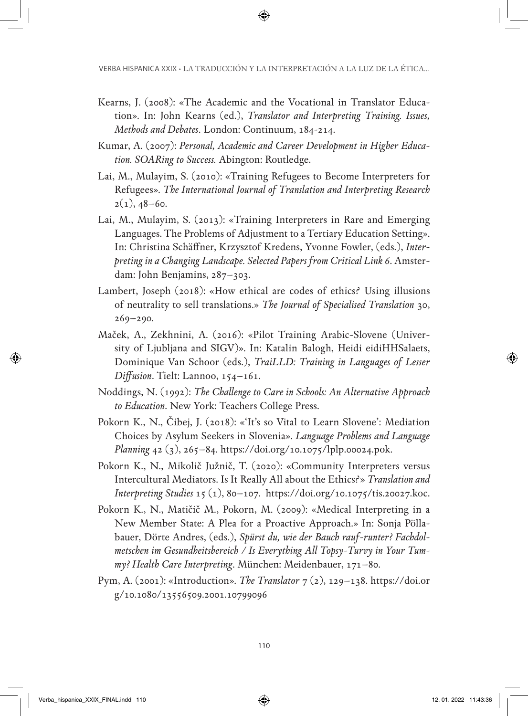- Kearns, J. (2008): «The Academic and the Vocational in Translator Education». In: John Kearns (ed.), *Translator and Interpreting Training. Issues, Methods and Debates*. London: Continuum, 184-214.
- Kumar, A. (2007): *Personal, Academic and Career Development in Higher Education. SOARing to Success.* Abington: Routledge.
- Lai, M., Mulayim, S. (2010): «Training Refugees to Become Interpreters for Refugees». *The International Journal of Translation and Interpreting Research*   $2(1), 48-60.$
- Lai, M., Mulayim, S. (2013): «Training Interpreters in Rare and Emerging Languages. The Problems of Adjustment to a Tertiary Education Setting». In: Christina Schäffner, Krzysztof Kredens, Yvonne Fowler, (eds.), *Interpreting in a Changing Landscape. Selected Papers from Critical Link 6*. Amsterdam: John Benjamins, 287–303.
- Lambert, Joseph (2018): «How ethical are codes of ethics? Using illusions of neutrality to sell translations.» *The Journal of Specialised Translation* 30, 269–290.
- Maček, A., Zekhnini, A. (2016): «Pilot Training Arabic-Slovene (University of Ljubljana and SIGV)». In: Katalin Balogh, Heidi eidiHHSalaets, Dominique Van Schoor (eds.), *TraiLLD: Training in Languages of Lesser Diffusion*. Tielt: Lannoo, 154–161.
- Noddings, N. (1992): *The Challenge to Care in Schools: An Alternative Approach to Education*. New York: Teachers College Press.
- Pokorn K., N., Čibej, J. (2018): «'It's so Vital to Learn Slovene': Mediation Choices by Asylum Seekers in Slovenia». *Language Problems and Language Planning* 42 (3), 265–84.<https://doi.org/10.1075/lplp.00024.pok>.
- Pokorn K., N., Mikolič Južnič, T. (2020): «Community Interpreters versus Intercultural Mediators. Is It Really All about the Ethics?» *Translation and Interpreting Studies* 15 (1), 80–107. [https://doi.org/10.1075/tis.20027.koc.](https://doi.org/10.1075/tis.20027.koc)
- Pokorn K., N., Matičič M., Pokorn, M. (2009): «Medical Interpreting in a New Member State: A Plea for a Proactive Approach.» In: Sonja Pöllabauer, Dörte Andres, (eds.), *Spürst du, wie der Bauch rauf-runter? Fachdolmetschen im Gesundheitsbereich / Is Everything All Topsy-Turvy in Your Tummy? Health Care Interpreting*. München: Meidenbauer, 171–80.
- Pym, A. (2001): «Introduction». *The Translator* 7 (2), 129–138. [https://doi.or](https://doi.org/10.1080/13556509.2001.10799096) [g/10.1080/13556509.2001.10799096](https://doi.org/10.1080/13556509.2001.10799096)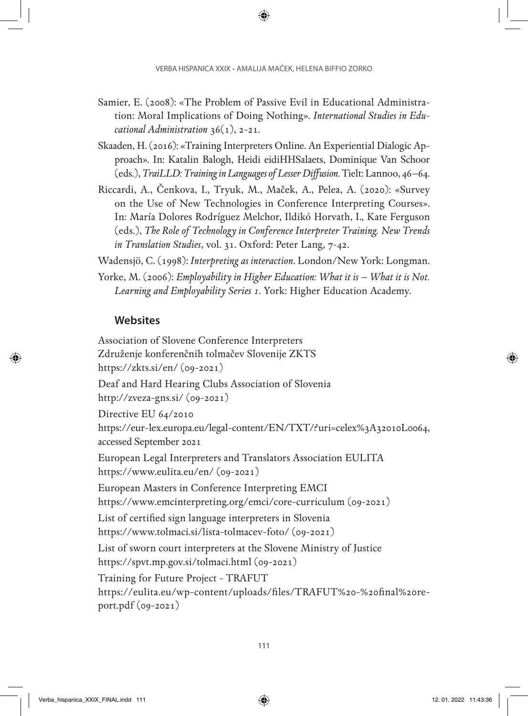- Samier, E. (2008): «The Problem of Passive Evil in Educational Administration: Moral Implications of Doing Nothing». *International Studies in Educational Administration* 36(1), 2-21.
- Skaaden, H. (2016): «Training Interpreters Online. An Experiential Dialogic Approach». In: Katalin Balogh, Heidi eidiHHSalaets, Dominique Van Schoor (eds.), *TraiLLD: Training in Languages of Lesser Diffusion*. Tielt: Lannoo, 46–64.
- Riccardi, A., Čenkova, I., Tryuk, M., Maček, A., Pelea, A. (2020): «Survey on the Use of New Technologies in Conference Interpreting Courses». In: María Dolores Rodríguez Melchor, Ildikó Horvath, I.*,* Kate Ferguson (eds.), *The Role of Technology in Conference Interpreter Training. New Trends in Translation Studies*, vol. 31. Oxford: Peter Lang, 7-42.

Wadensjö, C. (1998): *Interpreting as interaction*. London/New York: Longman.

Yorke, M. (2006): *Employability in Higher Education: What it is – What it is Not. Learning and Employability Series 1*. York: Higher Education Academy.

## **Websites**

Association of Slovene Conference Interpreters Združenje konferenčnih tolmačev Slovenije ZKTS <https://zkts.si/en/>(09-2021) Deaf and Hard Hearing Clubs Association of Slovenia <http://zveza-gns.si/> (09-2021) Directive EU 64/2010 <https://eur-lex.europa.eu/legal-content/EN/TXT/?uri=celex%3A32010L0064>, accessed September 2021 European Legal Interpreters and Translators Association EULITA <https://www.eulita.eu/en/>(09-2021) European Masters in Conference Interpreting EMCI <https://www.emcinterpreting.org/emci/core-curriculum>(09-2021) List of certified sign language interpreters in Slovenia <https://www.tolmaci.si/lista-tolmacev-foto/> (09-2021) List of sworn court interpreters at the Slovene Ministry of Justice <https://spvt.mp.gov.si/tolmaci.html> (09-2021) Training for Future Project - TRAFUT [https://eulita.eu/wp-content/uploads/files/TRAFUT%20-%20final%20re-](https://eulita.eu/wp-content/uploads/files/TRAFUT%20-%20final%20report.pdf)

[port.pdf](https://eulita.eu/wp-content/uploads/files/TRAFUT%20-%20final%20report.pdf) (09-2021)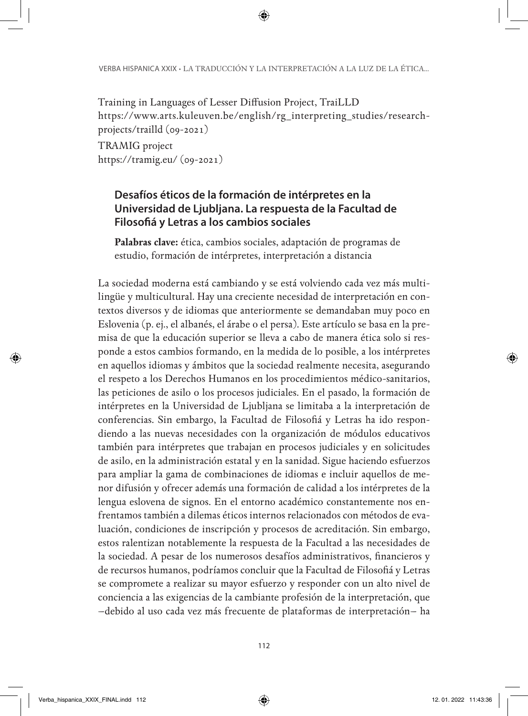Training in Languages of Lesser Diffusion Project, TraiLLD [https://www.arts.kuleuven.be/english/rg\\_interpreting\\_studies/research](https://www.arts.kuleuven.be/english/rg_interpreting_studies/research-projects/trailld)[projects/trailld](https://www.arts.kuleuven.be/english/rg_interpreting_studies/research-projects/trailld) (09-2021)

TRAMIG project <https://tramig.eu/> (09-2021)

#### **Desafíos éticos de la formación de intérpretes en la Universidad de Ljubljana. La respuesta de la Facultad de Filosofiá y Letras a los cambios sociales**

**Palabras clave:** ética, cambios sociales, adaptación de programas de estudio, formación de intérpretes, interpretación a distancia

La sociedad moderna está cambiando y se está volviendo cada vez más multilingüe y multicultural. Hay una creciente necesidad de interpretación en contextos diversos y de idiomas que anteriormente se demandaban muy poco en Eslovenia (p. ej., el albanés, el árabe o el persa). Este artículo se basa en la premisa de que la educación superior se lleva a cabo de manera ética solo si responde a estos cambios formando, en la medida de lo posible, a los intérpretes en aquellos idiomas y ámbitos que la sociedad realmente necesita, asegurando el respeto a los Derechos Humanos en los procedimientos médico-sanitarios, las peticiones de asilo o los procesos judiciales. En el pasado, la formación de intérpretes en la Universidad de Ljubljana se limitaba a la interpretación de conferencias. Sin embargo, la Facultad de Filosofiá y Letras ha ido respondiendo a las nuevas necesidades con la organización de módulos educativos también para intérpretes que trabajan en procesos judiciales y en solicitudes de asilo, en la administración estatal y en la sanidad. Sigue haciendo esfuerzos para ampliar la gama de combinaciones de idiomas e incluir aquellos de menor difusión y ofrecer además una formación de calidad a los intérpretes de la lengua eslovena de signos. En el entorno académico constantemente nos enfrentamos también a dilemas éticos internos relacionados con métodos de evaluación, condiciones de inscripción y procesos de acreditación. Sin embargo, estos ralentizan notablemente la respuesta de la Facultad a las necesidades de la sociedad. A pesar de los numerosos desafíos administrativos, financieros y de recursos humanos, podríamos concluir que la Facultad de Filosofiá y Letras se compromete a realizar su mayor esfuerzo y responder con un alto nivel de conciencia a las exigencias de la cambiante profesión de la interpretación, que –debido al uso cada vez más frecuente de plataformas de interpretación– ha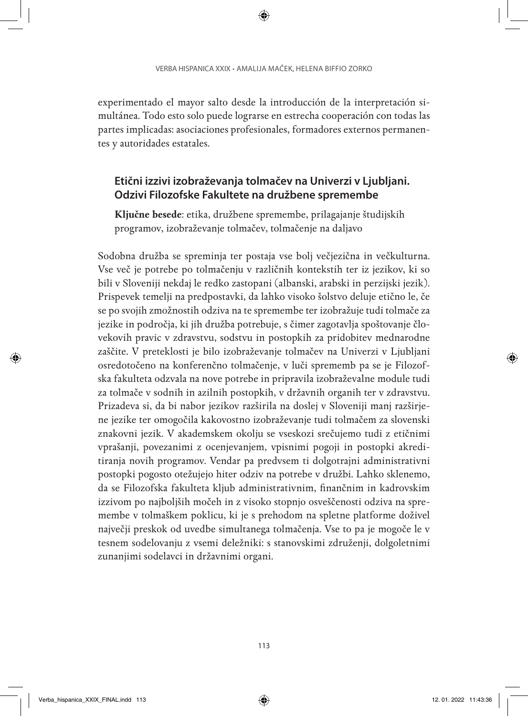experimentado el mayor salto desde la introducción de la interpretación simultánea. Todo esto solo puede lograrse en estrecha cooperación con todas las partes implicadas: asociaciones profesionales, formadores externos permanentes y autoridades estatales.

#### **Etični izzivi izobraževanja tolmačev na Univerzi v Ljubljani. Odzivi Filozofske Fakultete na družbene spremembe**

**Ključne besede**: etika, družbene spremembe, prilagajanje študijskih programov, izobraževanje tolmačev, tolmačenje na daljavo

Sodobna družba se spreminja ter postaja vse bolj večjezična in večkulturna. Vse več je potrebe po tolmačenju v različnih kontekstih ter iz jezikov, ki so bili v Sloveniji nekdaj le redko zastopani (albanski, arabski in perzijski jezik). Prispevek temelji na predpostavki, da lahko visoko šolstvo deluje etično le, če se po svojih zmožnostih odziva na te spremembe ter izobražuje tudi tolmače za jezike in področja, ki jih družba potrebuje, s čimer zagotavlja spoštovanje človekovih pravic v zdravstvu, sodstvu in postopkih za pridobitev mednarodne zaščite. V preteklosti je bilo izobraževanje tolmačev na Univerzi v Ljubljani osredotočeno na konferenčno tolmačenje, v luči sprememb pa se je Filozofska fakulteta odzvala na nove potrebe in pripravila izobraževalne module tudi za tolmače v sodnih in azilnih postopkih, v državnih organih ter v zdravstvu. Prizadeva si, da bi nabor jezikov razširila na doslej v Sloveniji manj razširjene jezike ter omogočila kakovostno izobraževanje tudi tolmačem za slovenski znakovni jezik. V akademskem okolju se vseskozi srečujemo tudi z etičnimi vprašanji, povezanimi z ocenjevanjem, vpisnimi pogoji in postopki akreditiranja novih programov. Vendar pa predvsem ti dolgotrajni administrativni postopki pogosto otežujejo hiter odziv na potrebe v družbi. Lahko sklenemo, da se Filozofska fakulteta kljub administrativnim, finančnim in kadrovskim izzivom po najboljših močeh in z visoko stopnjo osveščenosti odziva na spremembe v tolmaškem poklicu, ki je s prehodom na spletne platforme doživel največji preskok od uvedbe simultanega tolmačenja. Vse to pa je mogoče le v tesnem sodelovanju z vsemi deležniki: s stanovskimi združenji, dolgoletnimi zunanjimi sodelavci in državnimi organi.